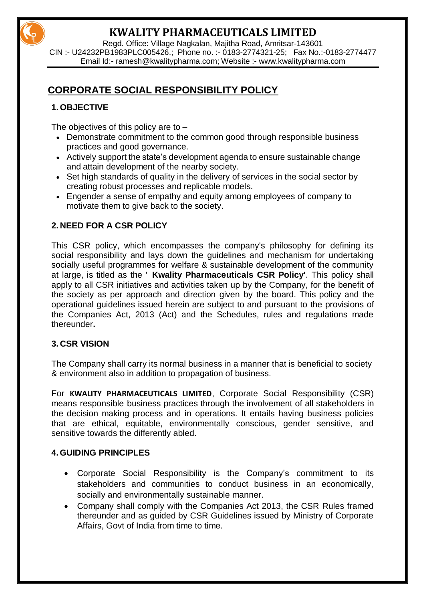

Regd. Office: Village Nagkalan, Majitha Road, Amritsar-143601 CIN :- U24232PB1983PLC005426.; Phone no. :- 0183-2774321-25; Fax No.:-0183-2774477 Email Id:- [ramesh@kwalitypharma.com;](mailto:ramesh@kwalitypharma.com) Website :- [www.kwalitypharma.com](http://www.kwalitypharma.com/)

## **CORPORATE SOCIAL RESPONSIBILITY POLICY**

## **1. OBJECTIVE**

The objectives of this policy are to –

- Demonstrate commitment to the common good through responsible business practices and good governance.
- Actively support the state's development agenda to ensure sustainable change and attain development of the nearby society.
- Set high standards of quality in the delivery of services in the social sector by creating robust processes and replicable models.
- Engender a sense of empathy and equity among employees of company to motivate them to give back to the society.

## **2. NEED FOR A CSR POLICY**

This CSR policy, which encompasses the company's philosophy for defining its social responsibility and lays down the guidelines and mechanism for undertaking socially useful programmes for welfare & sustainable development of the community at large, is titled as the ' **Kwality Pharmaceuticals CSR Policy'**. This policy shall apply to all CSR initiatives and activities taken up by the Company, for the benefit of the society as per approach and direction given by the board. This policy and the operational guidelines issued herein are subject to and pursuant to the provisions of the Companies Act, 2013 (Act) and the Schedules, rules and regulations made thereunder**.**

#### **3. CSR VISION**

The Company shall carry its normal business in a manner that is beneficial to society & environment also in addition to propagation of business.

For **KWALITY PHARMACEUTICALS LIMITED**, Corporate Social Responsibility (CSR) means responsible business practices through the involvement of all stakeholders in the decision making process and in operations. It entails having business policies that are ethical, equitable, environmentally conscious, gender sensitive, and sensitive towards the differently abled.

#### **4.GUIDING PRINCIPLES**

- Corporate Social Responsibility is the Company's commitment to its stakeholders and communities to conduct business in an economically, socially and environmentally sustainable manner.
- Company shall comply with the Companies Act 2013, the CSR Rules framed thereunder and as guided by CSR Guidelines issued by Ministry of Corporate Affairs, Govt of India from time to time.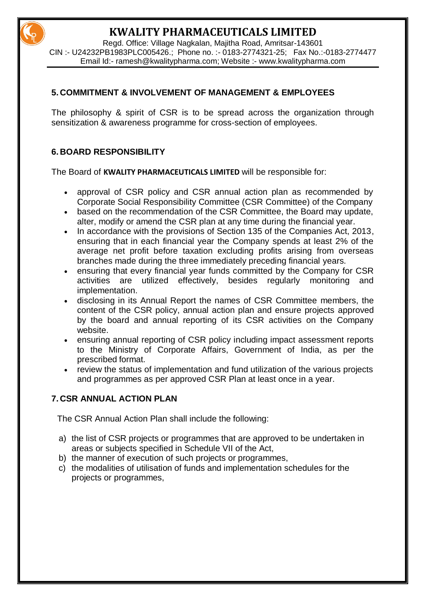Regd. Office: Village Nagkalan, Majitha Road, Amritsar-143601 CIN :- U24232PB1983PLC005426.; Phone no. :- 0183-2774321-25; Fax No.:-0183-2774477 Email Id:- [ramesh@kwalitypharma.com;](mailto:ramesh@kwalitypharma.com) Website :- [www.kwalitypharma.com](http://www.kwalitypharma.com/)

#### **5. COMMITMENT & INVOLVEMENT OF MANAGEMENT & EMPLOYEES**

The philosophy & spirit of CSR is to be spread across the organization through sensitization & awareness programme for cross-section of employees.

## **6. BOARD RESPONSIBILITY**

The Board of **KWALITY PHARMACEUTICALS LIMITED** will be responsible for:

- approval of CSR policy and CSR annual action plan as recommended by Corporate Social Responsibility Committee (CSR Committee) of the Company
- based on the recommendation of the CSR Committee, the Board may update, alter, modify or amend the CSR plan at any time during the financial year.
- In accordance with the provisions of Section 135 of the Companies Act, 2013, ensuring that in each financial year the Company spends at least 2% of the average net profit before taxation excluding profits arising from overseas branches made during the three immediately preceding financial years.
- ensuring that every financial year funds committed by the Company for CSR activities are utilized effectively, besides regularly monitoring and implementation.
- disclosing in its Annual Report the names of CSR Committee members, the content of the CSR policy, annual action plan and ensure projects approved by the board and annual reporting of its CSR activities on the Company website.
- ensuring annual reporting of CSR policy including impact assessment reports to the Ministry of Corporate Affairs, Government of India, as per the prescribed format.
- review the status of implementation and fund utilization of the various projects and programmes as per approved CSR Plan at least once in a year.

## **7. CSR ANNUAL ACTION PLAN**

The CSR Annual Action Plan shall include the following:

- a) the list of CSR projects or programmes that are approved to be undertaken in areas or subjects specified in Schedule VII of the Act,
- b) the manner of execution of such projects or programmes,
- c) the modalities of utilisation of funds and implementation schedules for the projects or programmes,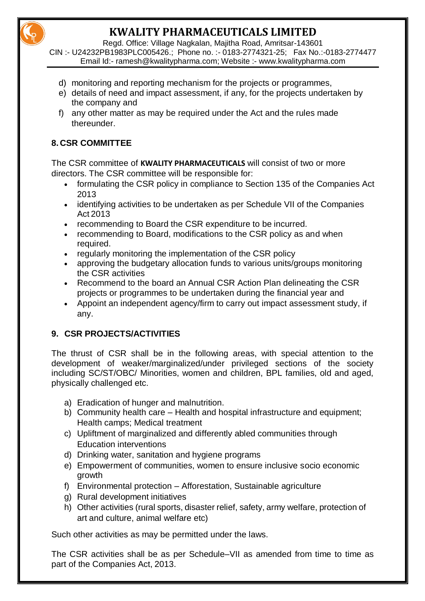Regd. Office: Village Nagkalan, Majitha Road, Amritsar-143601

CIN :- U24232PB1983PLC005426.; Phone no. :- 0183-2774321-25; Fax No.:-0183-2774477 Email Id:- [ramesh@kwalitypharma.com;](mailto:ramesh@kwalitypharma.com) Website :- [www.kwalitypharma.com](http://www.kwalitypharma.com/)

- d) monitoring and reporting mechanism for the projects or programmes,
- e) details of need and impact assessment, if any, for the projects undertaken by the company and
- f) any other matter as may be required under the Act and the rules made thereunder.

## **8. CSR COMMITTEE**

The CSR committee of **KWALITY PHARMACEUTICALS** will consist of two or more directors. The CSR committee will be responsible for:

- formulating the CSR policy in compliance to Section 135 of the Companies Act 2013
- identifying activities to be undertaken as per Schedule VII of the Companies Act 2013
- recommending to Board the CSR expenditure to be incurred.
- recommending to Board, modifications to the CSR policy as and when required.
- regularly monitoring the implementation of the CSR policy
- approving the budgetary allocation funds to various units/groups monitoring the CSR activities
- Recommend to the board an Annual CSR Action Plan delineating the CSR projects or programmes to be undertaken during the financial year and
- Appoint an independent agency/firm to carry out impact assessment study, if any.

## **9. CSR PROJECTS/ACTIVITIES**

The thrust of CSR shall be in the following areas, with special attention to the development of weaker/marginalized/under privileged sections of the society including SC/ST/OBC/ Minorities, women and children, BPL families, old and aged, physically challenged etc.

- a) Eradication of hunger and malnutrition.
- b) Community health care Health and hospital infrastructure and equipment; Health camps; Medical treatment
- c) Upliftment of marginalized and differently abled communities through Education interventions
- d) Drinking water, sanitation and hygiene programs
- e) Empowerment of communities, women to ensure inclusive socio economic growth
- f) Environmental protection Afforestation, Sustainable agriculture
- g) Rural development initiatives
- h) Other activities (rural sports, disaster relief, safety, army welfare, protection of art and culture, animal welfare etc)

Such other activities as may be permitted under the laws.

The CSR activities shall be as per Schedule–VII as amended from time to time as part of the Companies Act, 2013.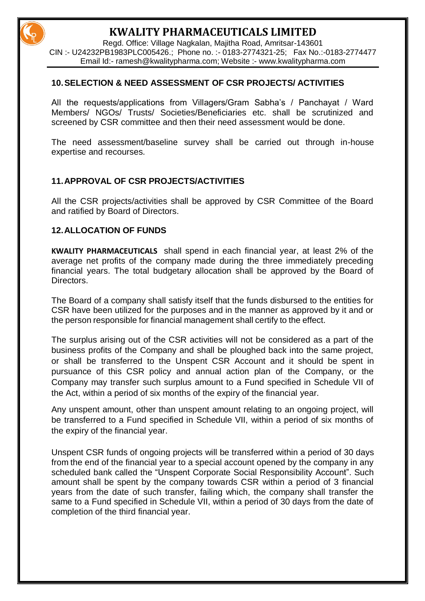Regd. Office: Village Nagkalan, Majitha Road, Amritsar-143601 CIN :- U24232PB1983PLC005426.; Phone no. :- 0183-2774321-25; Fax No.:-0183-2774477 Email Id:- [ramesh@kwalitypharma.com;](mailto:ramesh@kwalitypharma.com) Website :- [www.kwalitypharma.com](http://www.kwalitypharma.com/)

#### **10.SELECTION & NEED ASSESSMENT OF CSR PROJECTS/ ACTIVITIES**

All the requests/applications from Villagers/Gram Sabha's / Panchayat / Ward Members/ NGOs/ Trusts/ Societies/Beneficiaries etc. shall be scrutinized and screened by CSR committee and then their need assessment would be done.

The need assessment/baseline survey shall be carried out through in-house expertise and recourses.

#### **11.APPROVAL OF CSR PROJECTS/ACTIVITIES**

All the CSR projects/activities shall be approved by CSR Committee of the Board and ratified by Board of Directors.

#### **12.ALLOCATION OF FUNDS**

**KWALITY PHARMACEUTICALS** shall spend in each financial year, at least 2% of the average net profits of the company made during the three immediately preceding financial years. The total budgetary allocation shall be approved by the Board of Directors.

The Board of a company shall satisfy itself that the funds disbursed to the entities for CSR have been utilized for the purposes and in the manner as approved by it and or the person responsible for financial management shall certify to the effect.

The surplus arising out of the CSR activities will not be considered as a part of the business profits of the Company and shall be ploughed back into the same project, or shall be transferred to the Unspent CSR Account and it should be spent in pursuance of this CSR policy and annual action plan of the Company, or the Company may transfer such surplus amount to a Fund specified in Schedule VII of the Act, within a period of six months of the expiry of the financial year.

Any unspent amount, other than unspent amount relating to an ongoing project, will be transferred to a Fund specified in Schedule VII, within a period of six months of the expiry of the financial year.

Unspent CSR funds of ongoing projects will be transferred within a period of 30 days from the end of the financial year to a special account opened by the company in any scheduled bank called the "Unspent Corporate Social Responsibility Account". Such amount shall be spent by the company towards CSR within a period of 3 financial years from the date of such transfer, failing which, the company shall transfer the same to a Fund specified in Schedule VII, within a period of 30 days from the date of completion of the third financial year.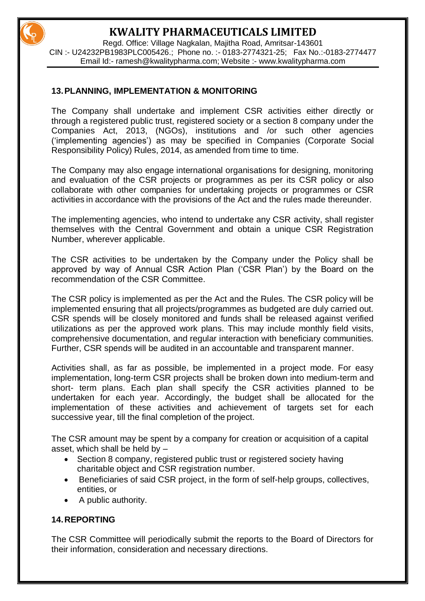Regd. Office: Village Nagkalan, Majitha Road, Amritsar-143601 CIN :- U24232PB1983PLC005426.; Phone no. :- 0183-2774321-25; Fax No.:-0183-2774477 Email Id:- [ramesh@kwalitypharma.com;](mailto:ramesh@kwalitypharma.com) Website :- [www.kwalitypharma.com](http://www.kwalitypharma.com/)

#### **13.PLANNING, IMPLEMENTATION & MONITORING**

The Company shall undertake and implement CSR activities either directly or through a registered public trust, registered society or a section 8 company under the Companies Act, 2013, (NGOs), institutions and /or such other agencies ('implementing agencies') as may be specified in Companies (Corporate Social Responsibility Policy) Rules, 2014, as amended from time to time.

The Company may also engage international organisations for designing, monitoring and evaluation of the CSR projects or programmes as per its CSR policy or also collaborate with other companies for undertaking projects or programmes or CSR activities in accordance with the provisions of the Act and the rules made thereunder.

The implementing agencies, who intend to undertake any CSR activity, shall register themselves with the Central Government and obtain a unique CSR Registration Number, wherever applicable.

The CSR activities to be undertaken by the Company under the Policy shall be approved by way of Annual CSR Action Plan ('CSR Plan') by the Board on the recommendation of the CSR Committee.

The CSR policy is implemented as per the Act and the Rules. The CSR policy will be implemented ensuring that all projects/programmes as budgeted are duly carried out. CSR spends will be closely monitored and funds shall be released against verified utilizations as per the approved work plans. This may include monthly field visits, comprehensive documentation, and regular interaction with beneficiary communities. Further, CSR spends will be audited in an accountable and transparent manner.

Activities shall, as far as possible, be implemented in a project mode. For easy implementation, long-term CSR projects shall be broken down into medium-term and short- term plans. Each plan shall specify the CSR activities planned to be undertaken for each year. Accordingly, the budget shall be allocated for the implementation of these activities and achievement of targets set for each successive year, till the final completion of the project.

The CSR amount may be spent by a company for creation or acquisition of a capital asset, which shall be held by –

- Section 8 company, registered public trust or registered society having charitable object and CSR registration number.
- Beneficiaries of said CSR project, in the form of self-help groups, collectives, entities, or
- A public authority.

#### **14.REPORTING**

The CSR Committee will periodically submit the reports to the Board of Directors for their information, consideration and necessary directions.